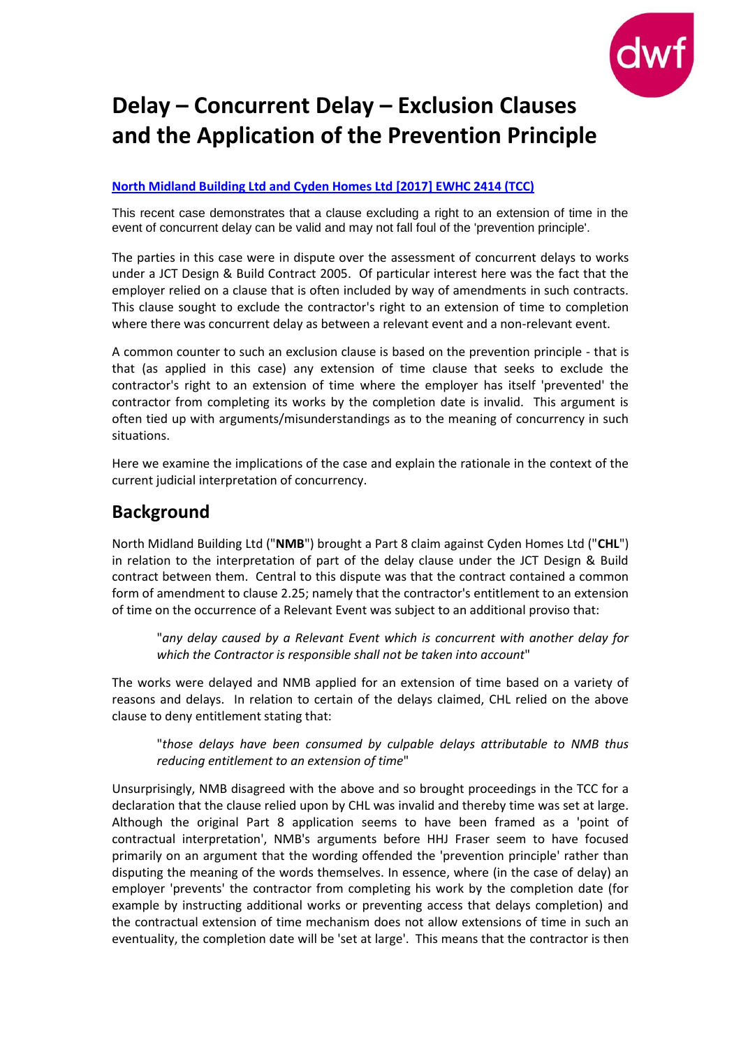

# **Delay – Concurrent Delay – Exclusion Clauses and the Application of the Prevention Principle**

#### **[North Midland Building Ltd and Cyden Homes Ltd](http://www.bailii.org/ew/cases/EWHC/TCC/2017/2414.html) [2017] EWHC 2414 (TCC)**

This recent case demonstrates that a clause excluding a right to an extension of time in the event of concurrent delay can be valid and may not fall foul of the 'prevention principle'.

The parties in this case were in dispute over the assessment of concurrent delays to works under a JCT Design & Build Contract 2005. Of particular interest here was the fact that the employer relied on a clause that is often included by way of amendments in such contracts. This clause sought to exclude the contractor's right to an extension of time to completion where there was concurrent delay as between a relevant event and a non-relevant event.

A common counter to such an exclusion clause is based on the prevention principle - that is that (as applied in this case) any extension of time clause that seeks to exclude the contractor's right to an extension of time where the employer has itself 'prevented' the contractor from completing its works by the completion date is invalid. This argument is often tied up with arguments/misunderstandings as to the meaning of concurrency in such situations.

Here we examine the implications of the case and explain the rationale in the context of the current judicial interpretation of concurrency.

### **Background**

North Midland Building Ltd ("**NMB**") brought a Part 8 claim against Cyden Homes Ltd ("**CHL**") in relation to the interpretation of part of the delay clause under the JCT Design & Build contract between them. Central to this dispute was that the contract contained a common form of amendment to clause 2.25; namely that the contractor's entitlement to an extension of time on the occurrence of a Relevant Event was subject to an additional proviso that:

"*any delay caused by a Relevant Event which is concurrent with another delay for which the Contractor is responsible shall not be taken into account*"

The works were delayed and NMB applied for an extension of time based on a variety of reasons and delays. In relation to certain of the delays claimed, CHL relied on the above clause to deny entitlement stating that:

"*those delays have been consumed by culpable delays attributable to NMB thus reducing entitlement to an extension of time*"

Unsurprisingly, NMB disagreed with the above and so brought proceedings in the TCC for a declaration that the clause relied upon by CHL was invalid and thereby time was set at large. Although the original Part 8 application seems to have been framed as a 'point of contractual interpretation', NMB's arguments before HHJ Fraser seem to have focused primarily on an argument that the wording offended the 'prevention principle' rather than disputing the meaning of the words themselves. In essence, where (in the case of delay) an employer 'prevents' the contractor from completing his work by the completion date (for example by instructing additional works or preventing access that delays completion) and the contractual extension of time mechanism does not allow extensions of time in such an eventuality, the completion date will be 'set at large'. This means that the contractor is then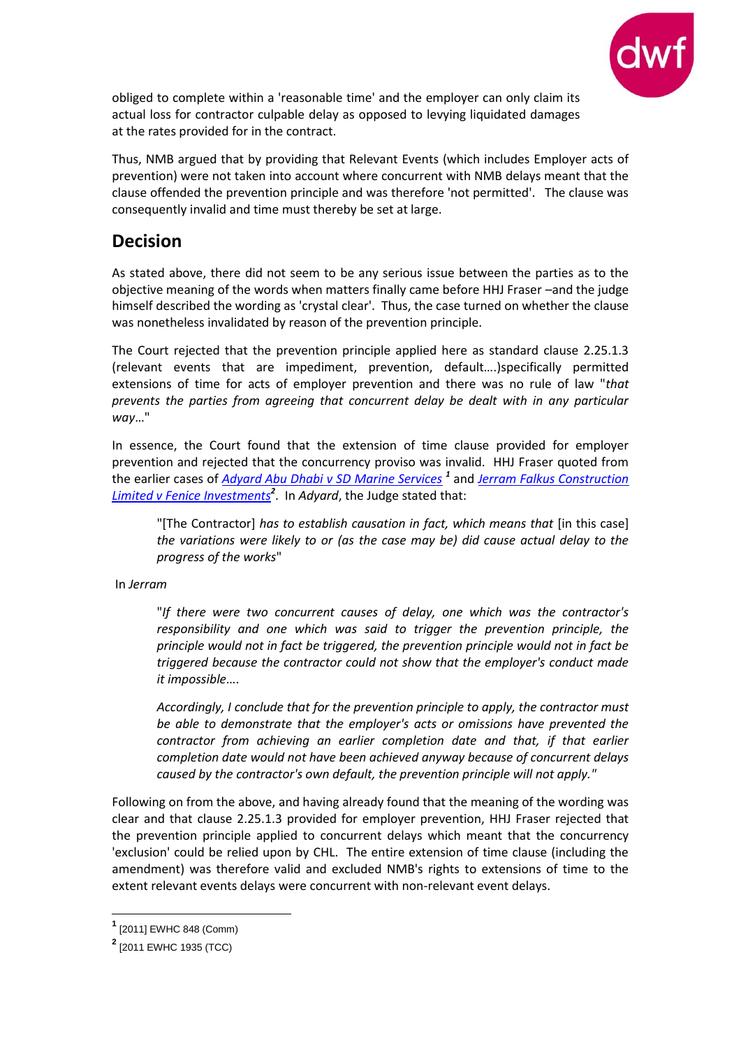

obliged to complete within a 'reasonable time' and the employer can only claim its actual loss for contractor culpable delay as opposed to levying liquidated damages at the rates provided for in the contract.

Thus, NMB argued that by providing that Relevant Events (which includes Employer acts of prevention) were not taken into account where concurrent with NMB delays meant that the clause offended the prevention principle and was therefore 'not permitted'. The clause was consequently invalid and time must thereby be set at large.

## **Decision**

As stated above, there did not seem to be any serious issue between the parties as to the objective meaning of the words when matters finally came before HHJ Fraser –and the judge himself described the wording as 'crystal clear'. Thus, the case turned on whether the clause was nonetheless invalidated by reason of the prevention principle.

The Court rejected that the prevention principle applied here as standard clause 2.25.1.3 (relevant events that are impediment, prevention, default….)specifically permitted extensions of time for acts of employer prevention and there was no rule of law "*that prevents the parties from agreeing that concurrent delay be dealt with in any particular way*…"

In essence, the Court found that the extension of time clause provided for employer prevention and rejected that the concurrency proviso was invalid. HHJ Fraser quoted from the earlier cases of *[Adyard Abu Dhabi v SD Marine Services](http://www.bailii.org/ew/cases/EWHC/Comm/2011/848.html) <sup>1</sup>* and *[Jerram Falkus Construction](http://www.bailii.org/ew/cases/EWHC/TCC/2011/1935.html)  [Limited v Fenice Investments](http://www.bailii.org/ew/cases/EWHC/TCC/2011/1935.html)<sup>2</sup>* . In *Adyard*, the Judge stated that:

"[The Contractor] *has to establish causation in fact, which means that* [in this case] *the variations were likely to or (as the case may be) did cause actual delay to the progress of the works*"

In *Jerram*

"*If there were two concurrent causes of delay, one which was the contractor's responsibility and one which was said to trigger the prevention principle, the principle would not in fact be triggered, the prevention principle would not in fact be triggered because the contractor could not show that the employer's conduct made it impossible*….

*Accordingly, I conclude that for the prevention principle to apply, the contractor must be able to demonstrate that the employer's acts or omissions have prevented the contractor from achieving an earlier completion date and that, if that earlier completion date would not have been achieved anyway because of concurrent delays caused by the contractor's own default, the prevention principle will not apply."*

Following on from the above, and having already found that the meaning of the wording was clear and that clause 2.25.1.3 provided for employer prevention, HHJ Fraser rejected that the prevention principle applied to concurrent delays which meant that the concurrency 'exclusion' could be relied upon by CHL. The entire extension of time clause (including the amendment) was therefore valid and excluded NMB's rights to extensions of time to the extent relevant events delays were concurrent with non-relevant event delays.

1

**<sup>1</sup>** [2011] EWHC 848 (Comm)

**<sup>2</sup>** [2011 EWHC 1935 (TCC)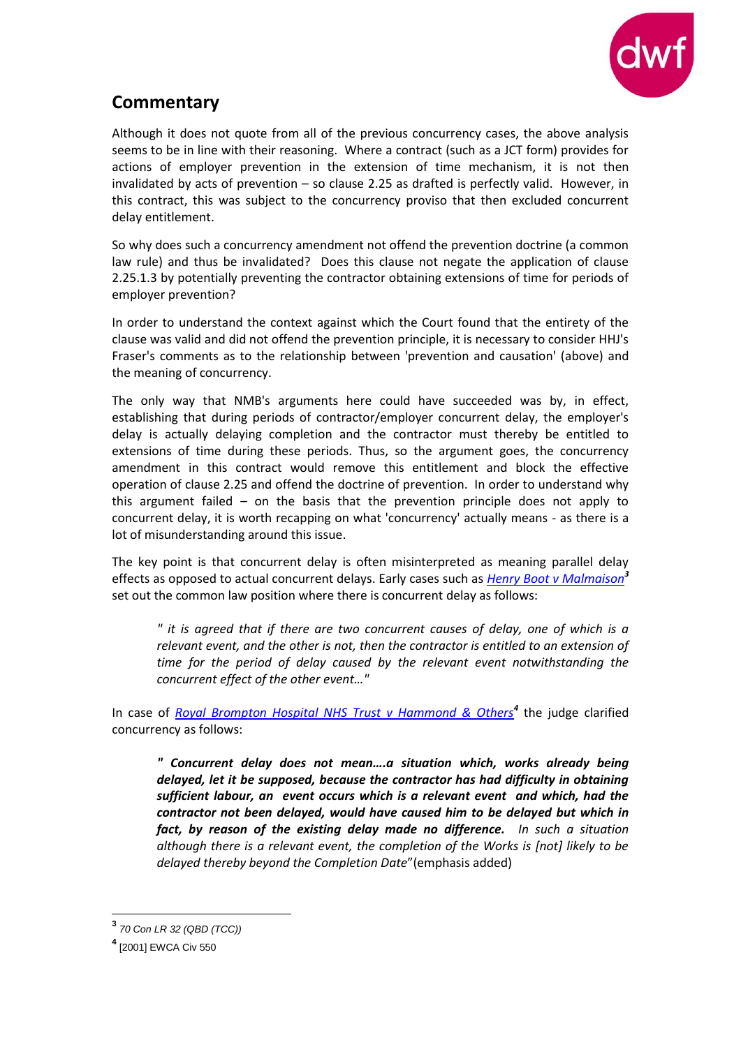

# **Commentary**

Although it does not quote from all of the previous concurrency cases, the above analysis seems to be in line with their reasoning. Where a contract (such as a JCT form) provides for actions of employer prevention in the extension of time mechanism, it is not then invalidated by acts of prevention – so clause 2.25 as drafted is perfectly valid. However, in this contract, this was subject to the concurrency proviso that then excluded concurrent delay entitlement.

So why does such a concurrency amendment not offend the prevention doctrine (a common law rule) and thus be invalidated? Does this clause not negate the application of clause 2.25.1.3 by potentially preventing the contractor obtaining extensions of time for periods of employer prevention?

In order to understand the context against which the Court found that the entirety of the clause was valid and did not offend the prevention principle, it is necessary to consider HHJ's Fraser's comments as to the relationship between 'prevention and causation' (above) and the meaning of concurrency.

The only way that NMB's arguments here could have succeeded was by, in effect, establishing that during periods of contractor/employer concurrent delay, the employer's delay is actually delaying completion and the contractor must thereby be entitled to extensions of time during these periods. Thus, so the argument goes, the concurrency amendment in this contract would remove this entitlement and block the effective operation of clause 2.25 and offend the doctrine of prevention. In order to understand why this argument failed – on the basis that the prevention principle does not apply to concurrent delay, it is worth recapping on what 'concurrency' actually means - as there is a lot of misunderstanding around this issue.

The key point is that concurrent delay is often misinterpreted as meaning parallel delay effects as opposed to actual concurrent delays. Early cases such as *[Henry Boot v Malmaison](http://www.bailii.org/ew/cases/EWCA/Civ/2000/175.html)<sup>3</sup>* set out the common law position where there is concurrent delay as follows:

*" it is agreed that if there are two concurrent causes of delay, one of which is a relevant event, and the other is not, then the contractor is entitled to an extension of time for the period of delay caused by the relevant event notwithstanding the concurrent effect of the other event…"*

In case of *[Royal Brompton Hospital NHS Trust v Hammond & Others](http://www.bailii.org/ew/cases/EWCA/Civ/2001/550.html)<sup>4</sup>* the judge clarified concurrency as follows:

*" Concurrent delay does not mean….a situation which, works already being delayed, let it be supposed, because the contractor has had difficulty in obtaining sufficient labour, an event occurs which is a relevant event and which, had the contractor not been delayed, would have caused him to be delayed but which in fact, by reason of the existing delay made no difference. In such a situation although there is a relevant event, the completion of the Works is [not] likely to be delayed thereby beyond the Completion Date*"(emphasis added)

1

**<sup>3</sup>** *70 Con LR 32 (QBD (TCC))*

**<sup>4</sup>** [2001] EWCA Civ 550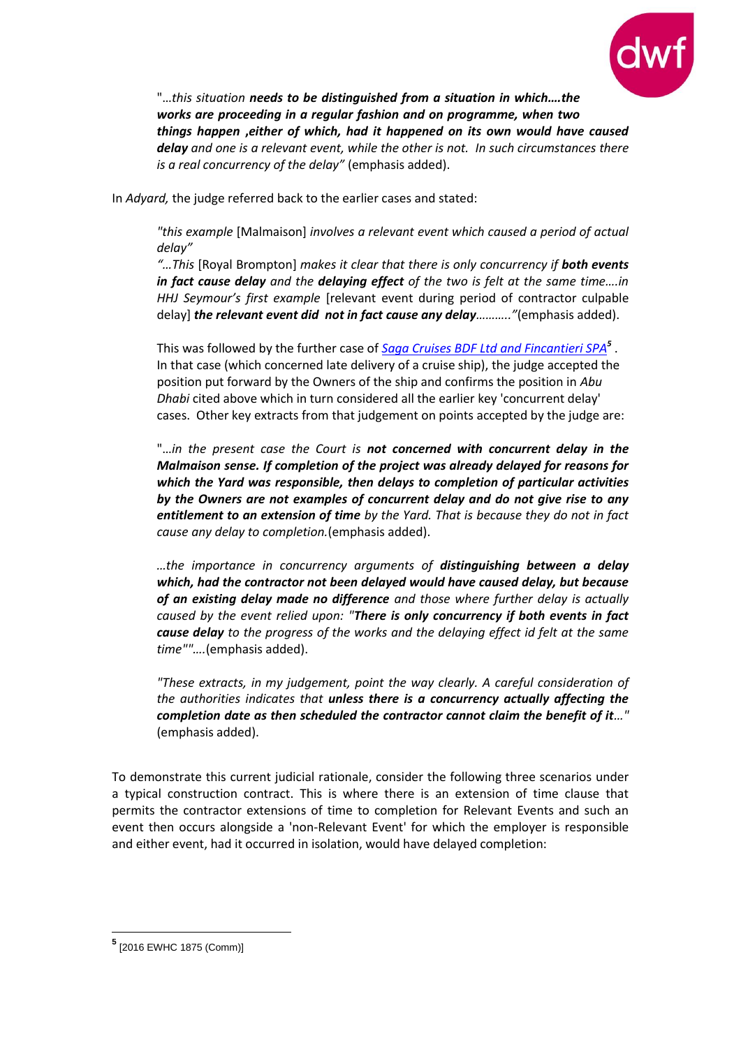

"…*this situation needs to be distinguished from a situation in which….the works are proceeding in a regular fashion and on programme, when two things happen* **,***either of which, had it happened on its own would have caused delay and one is a relevant event, while the other is not. In such circumstances there is a real concurrency of the delay"* (emphasis added).

In *Adyard,* the judge referred back to the earlier cases and stated:

*"this example* [Malmaison] *involves a relevant event which caused a period of actual delay"*

"...This [Royal Brompton] *makes it clear that there is only concurrency if both events in fact cause delay and the delaying effect of the two is felt at the same time….in HHJ Seymour's first example* [relevant event during period of contractor culpable delay] *the relevant event did not in fact cause any delay……….."*(emphasis added).

This was followed by the further case of *[Saga Cruises BDF Ltd and Fincantieri SPA](http://www.bailii.org/ew/cases/EWHC/Comm/2016/1875.html)<sup>5</sup>* . In that case (which concerned late delivery of a cruise ship), the judge accepted the position put forward by the Owners of the ship and confirms the position in *Abu Dhabi* cited above which in turn considered all the earlier key 'concurrent delay' cases. Other key extracts from that judgement on points accepted by the judge are:

"…*in the present case the Court is not concerned with concurrent delay in the Malmaison sense. If completion of the project was already delayed for reasons for which the Yard was responsible, then delays to completion of particular activities by the Owners are not examples of concurrent delay and do not give rise to any entitlement to an extension of time by the Yard. That is because they do not in fact cause any delay to completion.*(emphasis added).

*…the importance in concurrency arguments of distinguishing between a delay which, had the contractor not been delayed would have caused delay, but because of an existing delay made no difference and those where further delay is actually caused by the event relied upon: "There is only concurrency if both events in fact cause delay to the progress of the works and the delaying effect id felt at the same time""….*(emphasis added).

*"These extracts, in my judgement, point the way clearly. A careful consideration of the authorities indicates that unless there is a concurrency actually affecting the completion date as then scheduled the contractor cannot claim the benefit of it…"*  (emphasis added).

To demonstrate this current judicial rationale, consider the following three scenarios under a typical construction contract. This is where there is an extension of time clause that permits the contractor extensions of time to completion for Relevant Events and such an event then occurs alongside a 'non-Relevant Event' for which the employer is responsible and either event, had it occurred in isolation, would have delayed completion:

1

**<sup>5</sup>** [2016 EWHC 1875 (Comm)]